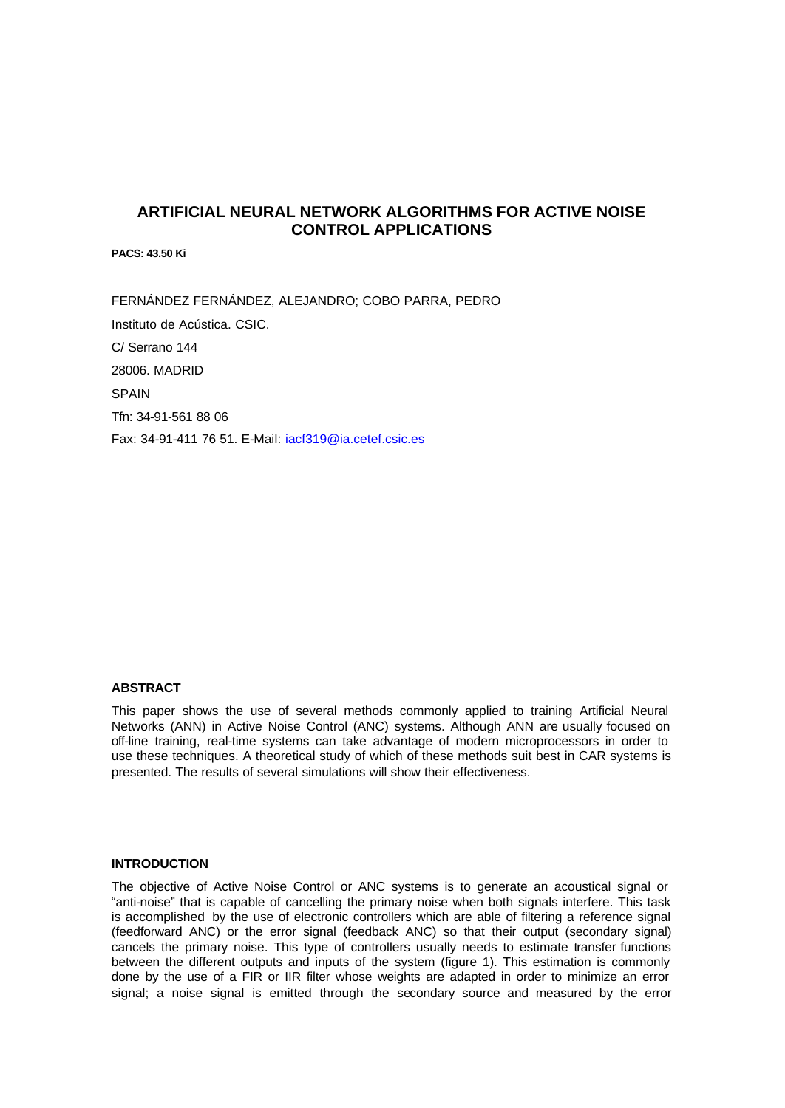# **ARTIFICIAL NEURAL NETWORK ALGORITHMS FOR ACTIVE NOISE CONTROL APPLICATIONS**

**PACS: 43.50 Ki**

FERNÁNDEZ FERNÁNDEZ, ALEJANDRO; COBO PARRA, PEDRO Instituto de Acústica. CSIC. C/ Serrano 144 28006. MADRID SPAIN Tfn: 34-91-561 88 06 Fax: 34-91-411 76 51. E-Mail: iacf319@ia.cetef.csic.es

## **ABSTRACT**

This paper shows the use of several methods commonly applied to training Artificial Neural Networks (ANN) in Active Noise Control (ANC) systems. Although ANN are usually focused on off-line training, real-time systems can take advantage of modern microprocessors in order to use these techniques. A theoretical study of which of these methods suit best in CAR systems is presented. The results of several simulations will show their effectiveness.

#### **INTRODUCTION**

The objective of Active Noise Control or ANC systems is to generate an acoustical signal or "anti-noise" that is capable of cancelling the primary noise when both signals interfere. This task is accomplished by the use of electronic controllers which are able of filtering a reference signal (feedforward ANC) or the error signal (feedback ANC) so that their output (secondary signal) cancels the primary noise. This type of controllers usually needs to estimate transfer functions between the different outputs and inputs of the system (figure 1). This estimation is commonly done by the use of a FIR or IIR filter whose weights are adapted in order to minimize an error signal; a noise signal is emitted through the secondary source and measured by the error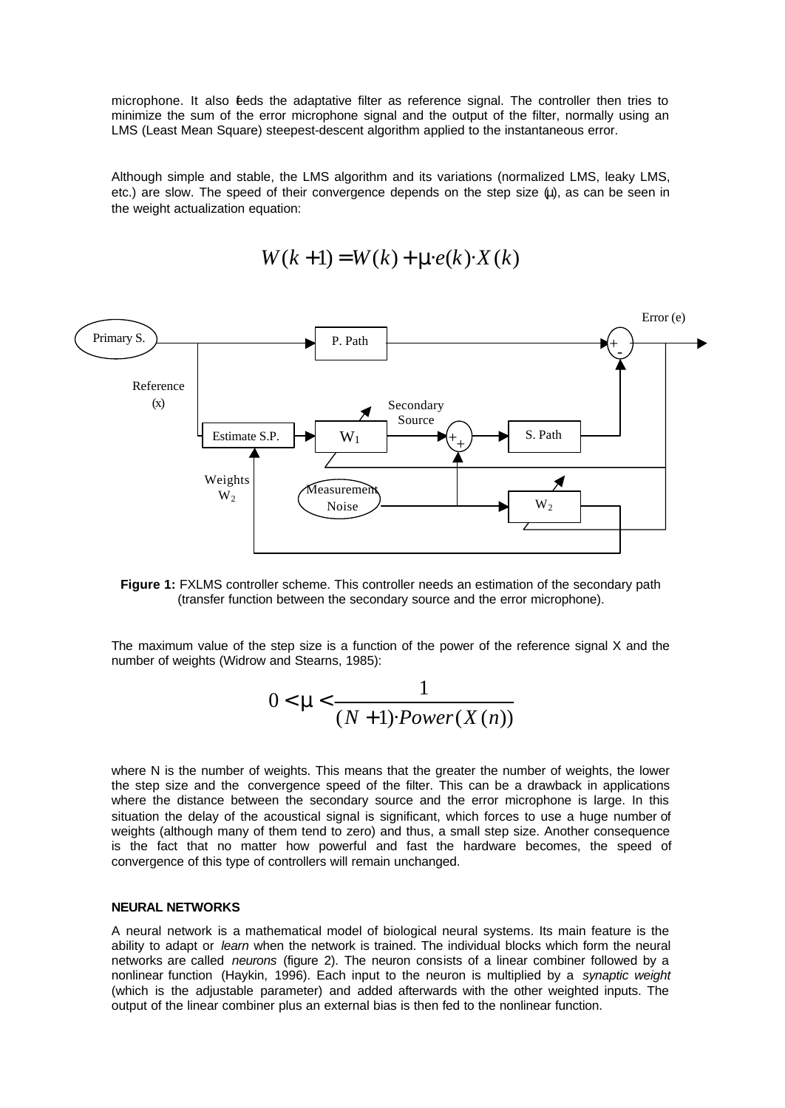microphone. It also feeds the adaptative filter as reference signal. The controller then tries to minimize the sum of the error microphone signal and the output of the filter, normally using an LMS (Least Mean Square) steepest-descent algorithm applied to the instantaneous error.

Although simple and stable, the LMS algorithm and its variations (normalized LMS, leaky LMS, etc.) are slow. The speed of their convergence depends on the step size (μ), as can be seen in the weight actualization equation:

$$
W(k+1) = W(k) + me(k) \cdot X(k)
$$





The maximum value of the step size is a function of the power of the reference signal X and the number of weights (Widrow and Stearns, 1985):

$$
0 < m < \frac{1}{(N+1) \cdot Power(X(n))}
$$

where N is the number of weights. This means that the greater the number of weights, the lower the step size and the convergence speed of the filter. This can be a drawback in applications where the distance between the secondary source and the error microphone is large. In this situation the delay of the acoustical signal is significant, which forces to use a huge number of weights (although many of them tend to zero) and thus, a small step size. Another consequence is the fact that no matter how powerful and fast the hardware becomes, the speed of convergence of this type of controllers will remain unchanged.

# **NEURAL NETWORKS**

A neural network is a mathematical model of biological neural systems. Its main feature is the ability to adapt or *learn* when the network is trained. The individual blocks which form the neural networks are called *neurons* (figure 2). The neuron consists of a linear combiner followed by a nonlinear function (Haykin, 1996). Each input to the neuron is multiplied by a *synaptic weight* (which is the adjustable parameter) and added afterwards with the other weighted inputs. The output of the linear combiner plus an external bias is then fed to the nonlinear function.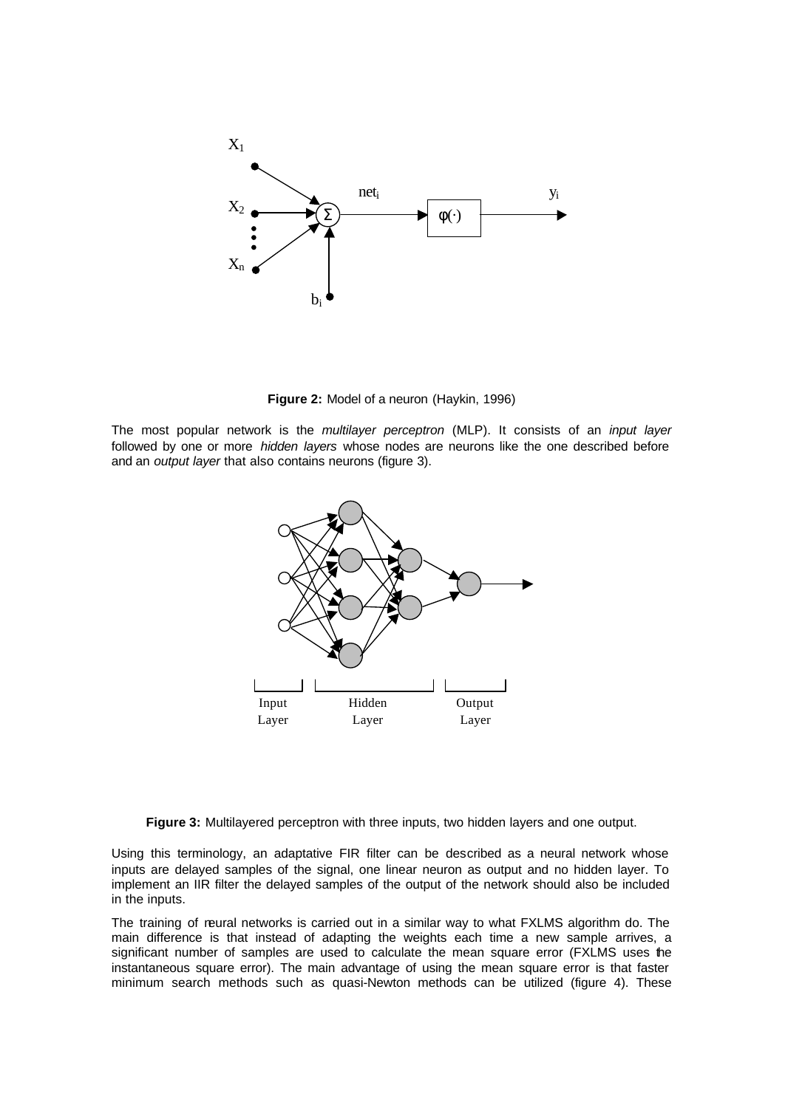

**Figure 2:** Model of a neuron (Haykin, 1996)

The most popular network is the *multilayer perceptron* (MLP). It consists of an *input layer* followed by one or more *hidden layers* whose nodes are neurons like the one described before and an *output layer* that also contains neurons (figure 3).



**Figure 3:** Multilayered perceptron with three inputs, two hidden layers and one output.

Using this terminology, an adaptative FIR filter can be described as a neural network whose inputs are delayed samples of the signal, one linear neuron as output and no hidden layer. To implement an IIR filter the delayed samples of the output of the network should also be included in the inputs.

The training of neural networks is carried out in a similar way to what FXLMS algorithm do. The main difference is that instead of adapting the weights each time a new sample arrives, a significant number of samples are used to calculate the mean square error (FXLMS uses the instantaneous square error). The main advantage of using the mean square error is that faster minimum search methods such as quasi-Newton methods can be utilized (figure 4). These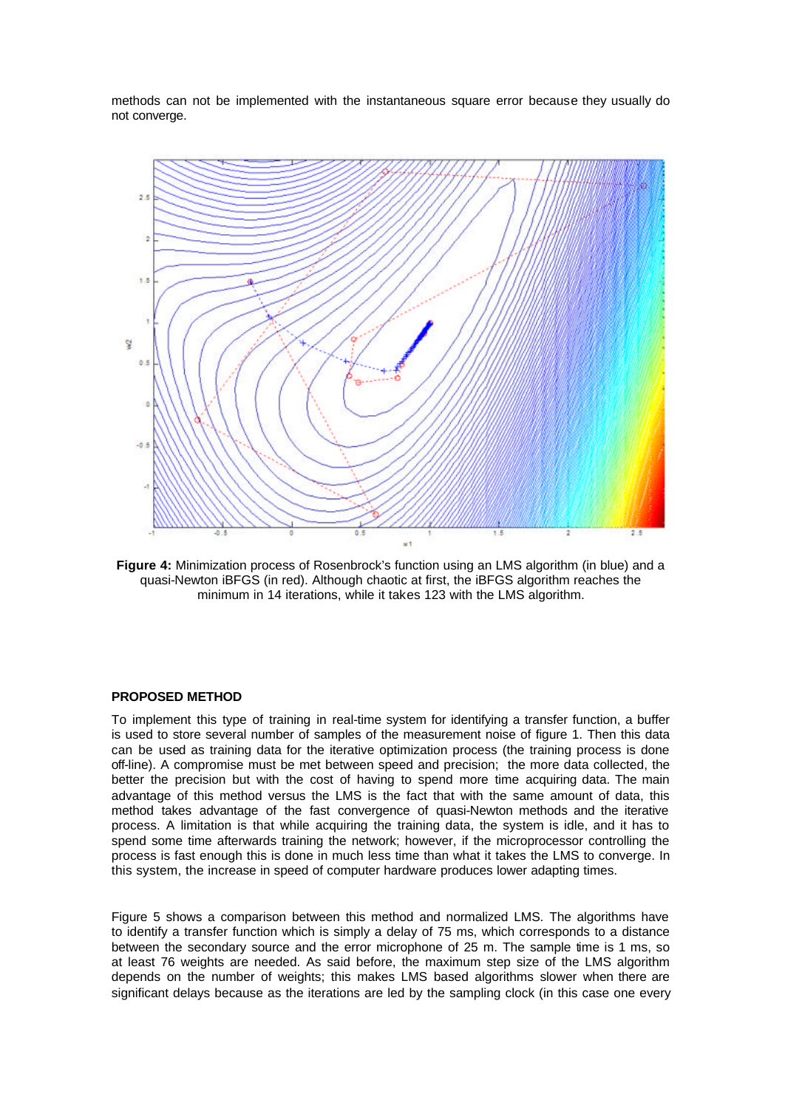methods can not be implemented with the instantaneous square error because they usually do not converge.



**Figure 4:** Minimization process of Rosenbrock's function using an LMS algorithm (in blue) and a quasi-Newton iBFGS (in red). Although chaotic at first, the iBFGS algorithm reaches the minimum in 14 iterations, while it takes 123 with the LMS algorithm.

## **PROPOSED METHOD**

To implement this type of training in real-time system for identifying a transfer function, a buffer is used to store several number of samples of the measurement noise of figure 1. Then this data can be used as training data for the iterative optimization process (the training process is done off-line). A compromise must be met between speed and precision; the more data collected, the better the precision but with the cost of having to spend more time acquiring data. The main advantage of this method versus the LMS is the fact that with the same amount of data, this method takes advantage of the fast convergence of quasi-Newton methods and the iterative process. A limitation is that while acquiring the training data, the system is idle, and it has to spend some time afterwards training the network; however, if the microprocessor controlling the process is fast enough this is done in much less time than what it takes the LMS to converge. In this system, the increase in speed of computer hardware produces lower adapting times.

Figure 5 shows a comparison between this method and normalized LMS. The algorithms have to identify a transfer function which is simply a delay of 75 ms, which corresponds to a distance between the secondary source and the error microphone of 25 m. The sample time is 1 ms, so at least 76 weights are needed. As said before, the maximum step size of the LMS algorithm depends on the number of weights; this makes LMS based algorithms slower when there are significant delays because as the iterations are led by the sampling clock (in this case one every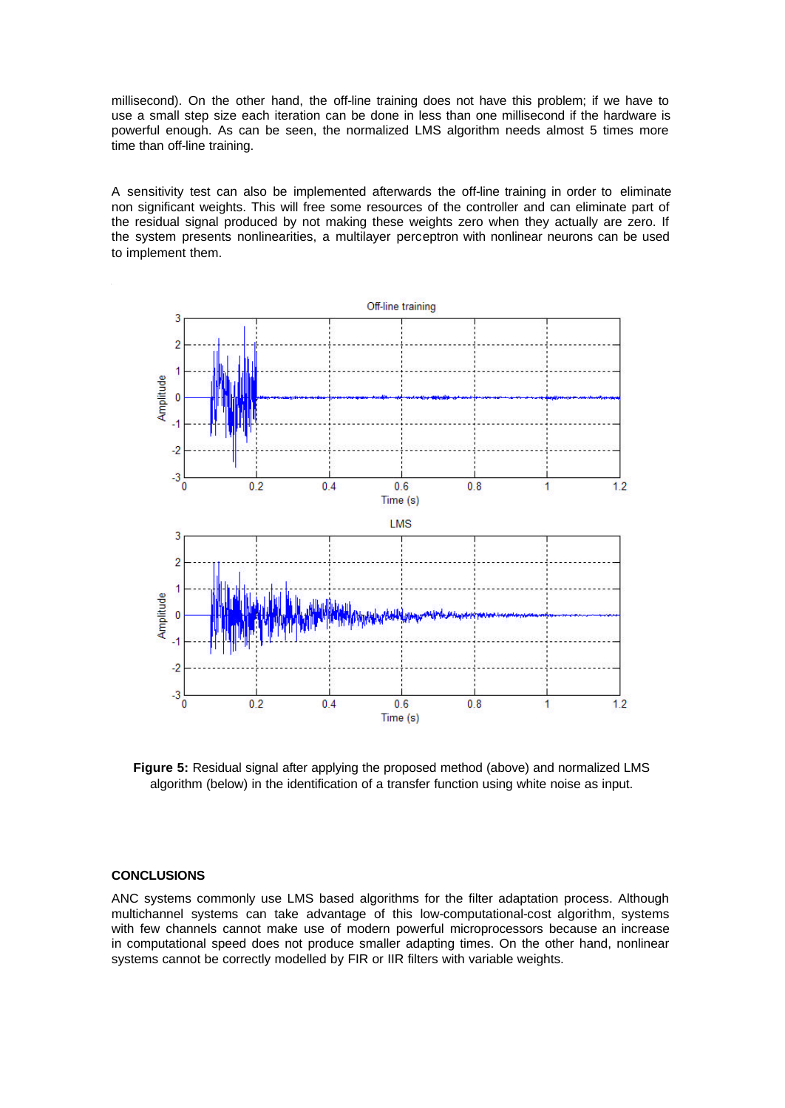millisecond). On the other hand, the off-line training does not have this problem; if we have to use a small step size each iteration can be done in less than one millisecond if the hardware is powerful enough. As can be seen, the normalized LMS algorithm needs almost 5 times more time than off-line training.

A sensitivity test can also be implemented afterwards the off-line training in order to eliminate non significant weights. This will free some resources of the controller and can eliminate part of the residual signal produced by not making these weights zero when they actually are zero. If the system presents nonlinearities, a multilayer perceptron with nonlinear neurons can be used to implement them.



**Figure 5:** Residual signal after applying the proposed method (above) and normalized LMS algorithm (below) in the identification of a transfer function using white noise as input.

# **CONCLUSIONS**

ANC systems commonly use LMS based algorithms for the filter adaptation process. Although multichannel systems can take advantage of this low-computational-cost algorithm, systems with few channels cannot make use of modern powerful microprocessors because an increase in computational speed does not produce smaller adapting times. On the other hand, nonlinear systems cannot be correctly modelled by FIR or IIR filters with variable weights.